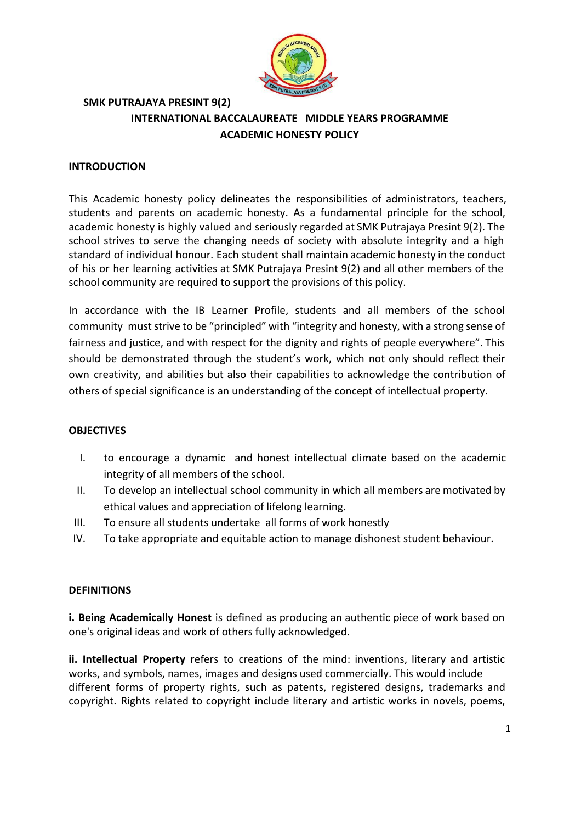

# **SMK PUTRAJAYA PRESINT 9(2) INTERNATIONAL BACCALAUREATE MIDDLE YEARS PROGRAMME ACADEMIC HONESTY POLICY**

## **INTRODUCTION**

This Academic honesty policy delineates the responsibilities of administrators, teachers, students and parents on academic honesty. As a fundamental principle for the school, academic honesty is highly valued and seriously regarded at SMK Putrajaya Presint 9(2). The school strives to serve the changing needs of society with absolute integrity and a high standard of individual honour. Each student shall maintain academic honesty in the conduct of his or her learning activities at SMK Putrajaya Presint 9(2) and all other members of the school community are required to support the provisions of this policy.

In accordance with the IB Learner Profile, students and all members of the school community must strive to be "principled" with "integrity and honesty, with a strong sense of fairness and justice, and with respect for the dignity and rights of people everywhere". This should be demonstrated through the student's work, which not only should reflect their own creativity, and abilities but also their capabilities to acknowledge the contribution of others of special significance is an understanding of the concept of intellectual property.

### **OBJECTIVES**

- I. to encourage a dynamic and honest intellectual climate based on the academic integrity of all members of the school.
- II. To develop an intellectual school community in which all members are motivated by ethical values and appreciation of lifelong learning.
- III. To ensure all students undertake all forms of work honestly
- IV. To take appropriate and equitable action to manage dishonest student behaviour.

### **DEFINITIONS**

**i. Being Academically Honest** is defined as producing an authentic piece of work based on one's original ideas and work of others fully acknowledged.

**ii. Intellectual Property** refers to creations of the mind: inventions, literary and artistic works, and symbols, names, images and designs used commercially. This would include different forms of property rights, such as patents, registered designs, trademarks and copyright. Rights related to copyright include literary and artistic works in novels, poems,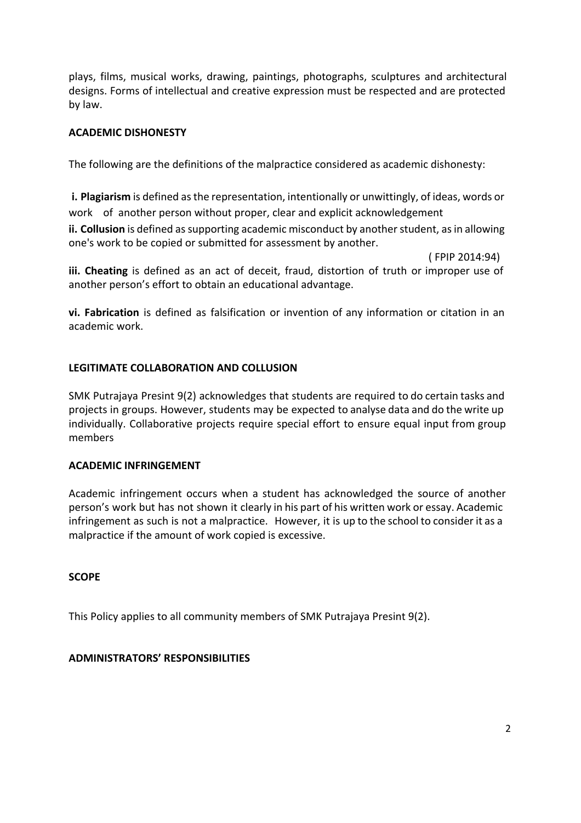plays, films, musical works, drawing, paintings, photographs, sculptures and architectural designs. Forms of intellectual and creative expression must be respected and are protected by law.

# **ACADEMIC DISHONESTY**

The following are the definitions of the malpractice considered as academic dishonesty:

**i. Plagiarism** is defined as the representation, intentionally or unwittingly, of ideas, words or work of another person without proper, clear and explicit acknowledgement

**ii. Collusion** is defined as supporting academic misconduct by another student, as in allowing one's work to be copied or submitted for assessment by another.

( FPIP 2014:94)

**iii. Cheating** is defined as an act of deceit, fraud, distortion of truth or improper use of another person's effort to obtain an educational advantage.

**vi. Fabrication** is defined as falsification or invention of any information or citation in an academic work.

# **LEGITIMATE COLLABORATION AND COLLUSION**

SMK Putrajaya Presint 9(2) acknowledges that students are required to do certain tasks and projects in groups. However, students may be expected to analyse data and do the write up individually. Collaborative projects require special effort to ensure equal input from group members

### **ACADEMIC INFRINGEMENT**

Academic infringement occurs when a student has acknowledged the source of another person's work but has not shown it clearly in his part of his written work or essay. Academic infringement as such is not a malpractice. However, it is up to the school to consider it as a malpractice if the amount of work copied is excessive.

### **SCOPE**

This Policy applies to all community members of SMK Putrajaya Presint 9(2).

### **ADMINISTRATORS' RESPONSIBILITIES**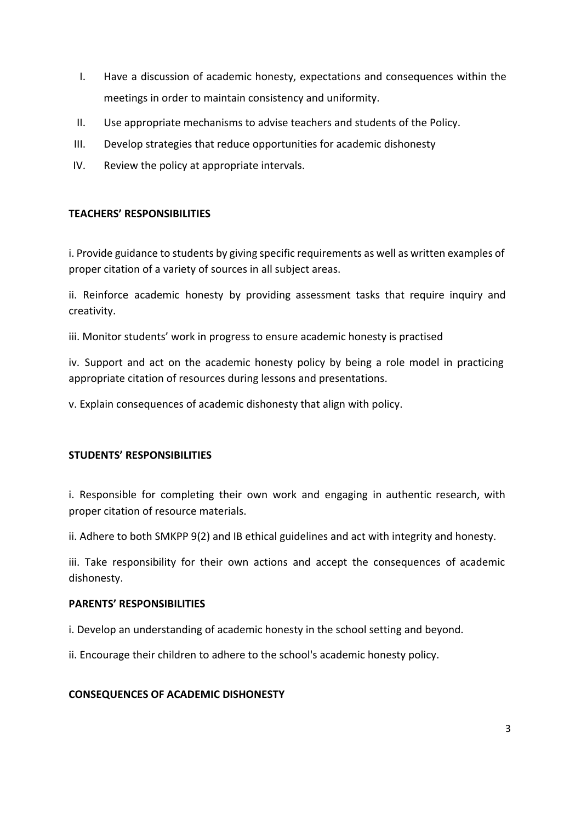- I. Have a discussion of academic honesty, expectations and consequences within the meetings in order to maintain consistency and uniformity.
- II. Use appropriate mechanisms to advise teachers and students of the Policy.
- III. Develop strategies that reduce opportunities for academic dishonesty
- IV. Review the policy at appropriate intervals.

# **TEACHERS' RESPONSIBILITIES**

i. Provide guidance to students by giving specific requirements as well as written examples of proper citation of a variety of sources in all subject areas.

ii. Reinforce academic honesty by providing assessment tasks that require inquiry and creativity.

iii. Monitor students' work in progress to ensure academic honesty is practised

iv. Support and act on the academic honesty policy by being a role model in practicing appropriate citation of resources during lessons and presentations.

v. Explain consequences of academic dishonesty that align with policy.

# **STUDENTS' RESPONSIBILITIES**

i. Responsible for completing their own work and engaging in authentic research, with proper citation of resource materials.

ii. Adhere to both SMKPP 9(2) and IB ethical guidelines and act with integrity and honesty.

iii. Take responsibility for their own actions and accept the consequences of academic dishonesty.

### **PARENTS' RESPONSIBILITIES**

i. Develop an understanding of academic honesty in the school setting and beyond.

ii. Encourage their children to adhere to the school's academic honesty policy.

### **CONSEQUENCES OF ACADEMIC DISHONESTY**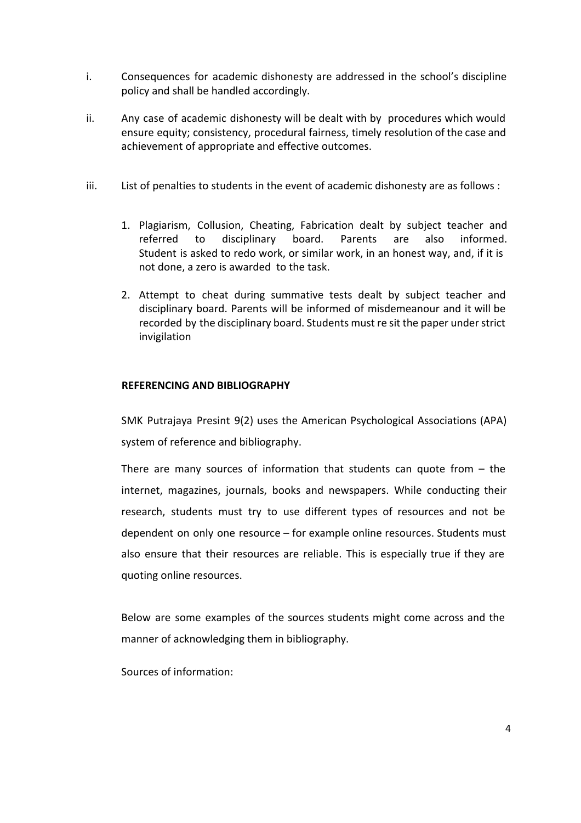- i. Consequences for academic dishonesty are addressed in the school's discipline policy and shall be handled accordingly.
- ii. Any case of academic dishonesty will be dealt with by procedures which would ensure equity; consistency, procedural fairness, timely resolution of the case and achievement of appropriate and effective outcomes.
- iii. List of penalties to students in the event of academic dishonesty are as follows :
	- 1. Plagiarism, Collusion, Cheating, Fabrication dealt by subject teacher and referred to disciplinary board. Parents are also informed. Student is asked to redo work, or similar work, in an honest way, and, if it is not done, a zero is awarded to the task.
	- 2. Attempt to cheat during summative tests dealt by subject teacher and disciplinary board. Parents will be informed of misdemeanour and it will be recorded by the disciplinary board. Students must re sit the paper understrict invigilation

### **REFERENCING AND BIBLIOGRAPHY**

SMK Putrajaya Presint 9(2) uses the American Psychological Associations (APA) system of reference and bibliography.

There are many sources of information that students can quote from  $-$  the internet, magazines, journals, books and newspapers. While conducting their research, students must try to use different types of resources and not be dependent on only one resource – for example online resources. Students must also ensure that their resources are reliable. This is especially true if they are quoting online resources.

Below are some examples of the sources students might come across and the manner of acknowledging them in bibliography.

Sources of information: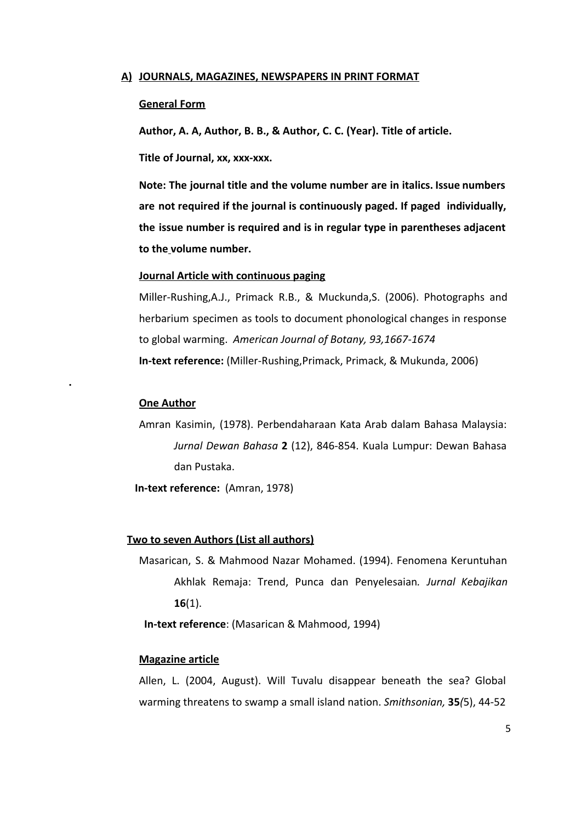#### **A) JOURNALS, MAGAZINES, NEWSPAPERS IN PRINT FORMAT**

#### **General Form**

**Author, A. A, Author, B. B., & Author, C. C. (Year). Title of article.**

**Title of Journal, xx, xxx-xxx.** 

**Note: The journal title and the volume number are in italics. Issue numbers are not required if the journal is continuously paged. If paged individually, the issue number is required and is in regular type in parentheses adjacent to thevolume number.**

### **Journal Article with continuous paging**

Miller-Rushing,A.J., Primack R.B., & Muckunda,S. (2006). Photographs and herbarium specimen as tools to document phonological changes in response to global warming. American Journal of Botany, 93,1667-1674 **In-text reference:** (Miller-Rushing, Primack, Primack, & Mukunda, 2006)

#### **One Author**

**.**

Amran Kasimin, (1978). Perbendaharaan Kata Arab dalam Bahasa Malaysia: *Jurnal Dewan Bahasa* 2 (12), 846-854. Kuala Lumpur: Dewan Bahasa dan Pustaka.

**In-text reference:** (Amran, 1978)

#### **Two to seven Authors (List all authors)**

Masarican, S. & Mahmood Nazar Mohamed. (1994). Fenomena Keruntuhan Akhlak Remaja: Trend, Punca dan Penyelesaian*. Jurnal Kebajikan* **16**(1).

**In-text reference:** (Masarican & Mahmood, 1994)

### **Magazine article**

Allen, L. (2004, August). Will Tuvalu disappear beneath the sea? Global warming threatens to swamp a small island nation. *Smithsonian,* **35***(*5), 4452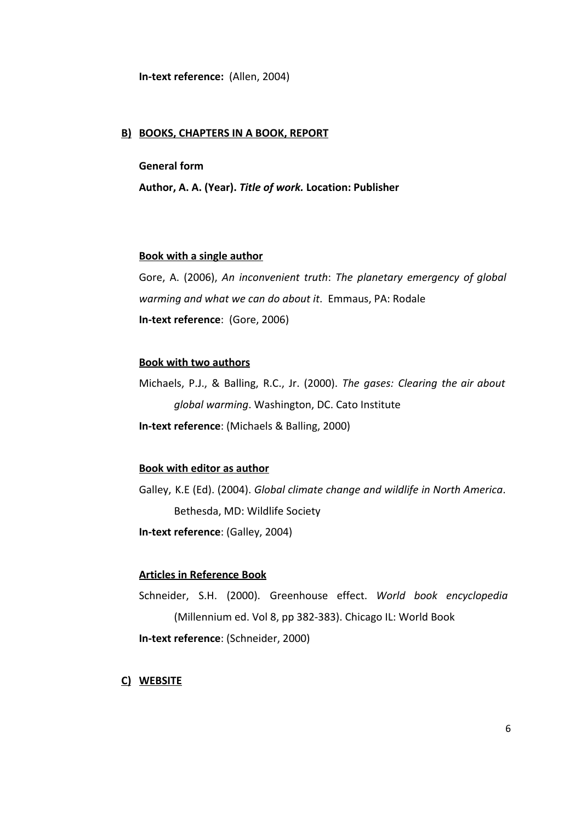**In-text reference:** (Allen, 2004)

### **B) BOOKS, CHAPTERS IN A BOOK, REPORT**

## **General form**

**Author, A. A. (Year).** *Title of work.***Location: Publisher**

#### **Book with a single author**

Gore, A. (2006), *An inconvenient truth*: *The planetary emergency of global warming and what we can do about it*. Emmaus, PA: Rodale **In-text reference:** (Gore, 2006)

#### **Book with two authors**

Michaels, P.J., & Balling, R.C., Jr. (2000). *The gases: Clearing the air about global warming*. Washington, DC. Cato Institute **In-text reference**: (Michaels & Balling, 2000)

### **Book with editor as author**

Galley, K.E (Ed). (2004). *Global climate change and wildlife in North America*. Bethesda, MD: Wildlife Society **In-text reference: (Galley, 2004)** 

### **Articles in Reference Book**

Schneider, S.H. (2000). Greenhouse effect. *World book encyclopedia* (Millennium ed. Vol 8, pp 382-383). Chicago IL: World Book **In-text reference: (Schneider, 2000)** 

**C) WEBSITE**